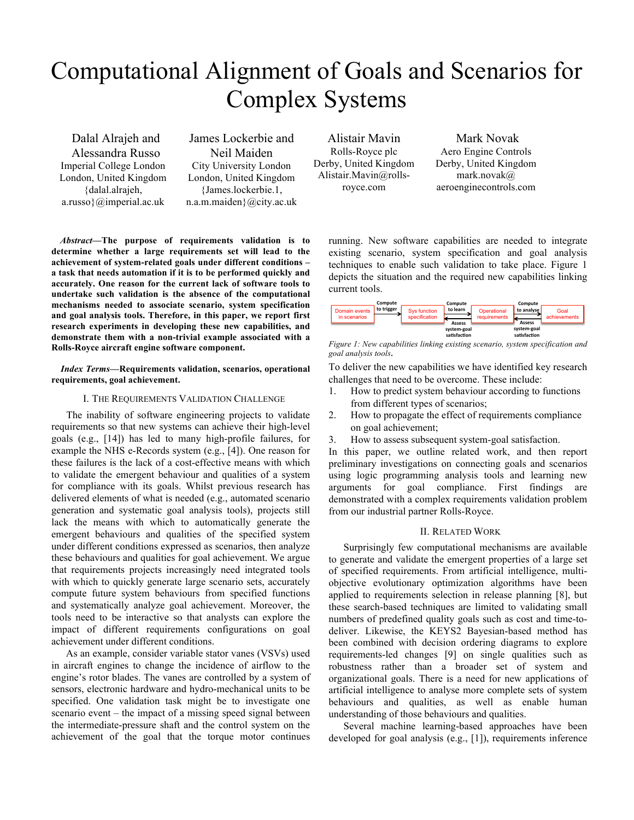# Computational Alignment of Goals and Scenarios for Complex Systems

Dalal Alrajeh and Alessandra Russo Imperial College London London, United Kingdom {dalal.alrajeh, a.russo}@imperial.ac.uk

James Lockerbie and Neil Maiden City University London London, United Kingdom {James.lockerbie.1, n.a.m.maiden}@city.ac.uk

Alistair Mavin Rolls-Royce plc Derby, United Kingdom Alistair.Mavin@rollsroyce.com

Mark Novak Aero Engine Controls Derby, United Kingdom mark.novak@ aeroenginecontrols.com

*Abstract***—The purpose of requirements validation is to determine whether a large requirements set will lead to the achievement of system-related goals under different conditions – a task that needs automation if it is to be performed quickly and accurately. One reason for the current lack of software tools to undertake such validation is the absence of the computational mechanisms needed to associate scenario, system specification and goal analysis tools. Therefore, in this paper, we report first research experiments in developing these new capabilities, and demonstrate them with a non-trivial example associated with a Rolls-Royce aircraft engine software component.** 

# *Index Terms***—Requirements validation, scenarios, operational requirements, goal achievement.**

# I. THE REQUIREMENTS VALIDATION CHALLENGE

The inability of software engineering projects to validate requirements so that new systems can achieve their high-level goals (e.g., [14]) has led to many high-profile failures, for example the NHS e-Records system (e.g., [4]). One reason for these failures is the lack of a cost-effective means with which to validate the emergent behaviour and qualities of a system for compliance with its goals. Whilst previous research has delivered elements of what is needed (e.g., automated scenario generation and systematic goal analysis tools), projects still lack the means with which to automatically generate the emergent behaviours and qualities of the specified system under different conditions expressed as scenarios, then analyze these behaviours and qualities for goal achievement. We argue that requirements projects increasingly need integrated tools with which to quickly generate large scenario sets, accurately compute future system behaviours from specified functions and systematically analyze goal achievement. Moreover, the tools need to be interactive so that analysts can explore the impact of different requirements configurations on goal achievement under different conditions.

As an example, consider variable stator vanes (VSVs) used in aircraft engines to change the incidence of airflow to the engine's rotor blades. The vanes are controlled by a system of sensors, electronic hardware and hydro-mechanical units to be specified. One validation task might be to investigate one scenario event – the impact of a missing speed signal between the intermediate-pressure shaft and the control system on the achievement of the goal that the torque motor continues

running. New software capabilities are needed to integrate existing scenario, system specification and goal analysis techniques to enable such validation to take place. Figure 1 depicts the situation and the required new capabilities linking current tools.

|                               | Compute    |                               | Compute                     |                             | Compute                     |                      |
|-------------------------------|------------|-------------------------------|-----------------------------|-----------------------------|-----------------------------|----------------------|
| Domain events<br>in scenarios | to trigger | Sys function<br>specification | to learn<br>Assess          | Operational<br>requirements | to analyse<br><b>Assess</b> | Goal<br>achievements |
|                               |            |                               | system-goal<br>satisfaction |                             | system-goal<br>satisfaction |                      |



To deliver the new capabilities we have identified key research challenges that need to be overcome. These include:

- 1. How to predict system behaviour according to functions from different types of scenarios;
- 2. How to propagate the effect of requirements compliance on goal achievement;
- 3. How to assess subsequent system-goal satisfaction.

In this paper, we outline related work, and then report preliminary investigations on connecting goals and scenarios using logic programming analysis tools and learning new arguments for goal compliance. First findings are demonstrated with a complex requirements validation problem from our industrial partner Rolls-Royce.

# II. RELATED WORK

Surprisingly few computational mechanisms are available to generate and validate the emergent properties of a large set of specified requirements. From artificial intelligence, multiobjective evolutionary optimization algorithms have been applied to requirements selection in release planning [8], but these search-based techniques are limited to validating small numbers of predefined quality goals such as cost and time-todeliver. Likewise, the KEYS2 Bayesian-based method has been combined with decision ordering diagrams to explore requirements-led changes [9] on single qualities such as robustness rather than a broader set of system and organizational goals. There is a need for new applications of artificial intelligence to analyse more complete sets of system behaviours and qualities, as well as enable human understanding of those behaviours and qualities.

Several machine learning-based approaches have been developed for goal analysis (e.g., [1]), requirements inference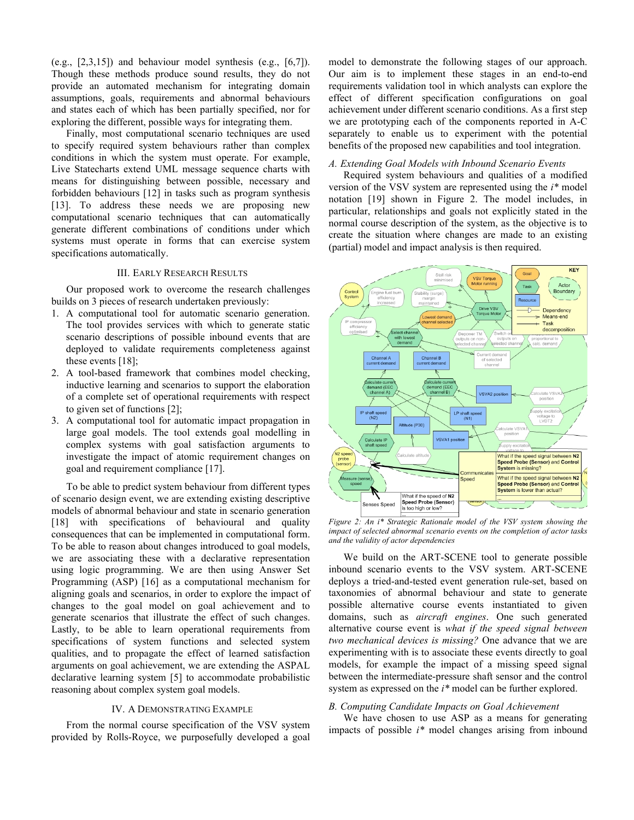(e.g.,  $[2,3,15]$ ) and behaviour model synthesis (e.g.,  $[6,7]$ ). Though these methods produce sound results, they do not provide an automated mechanism for integrating domain assumptions, goals, requirements and abnormal behaviours and states each of which has been partially specified, nor for exploring the different, possible ways for integrating them.

Finally, most computational scenario techniques are used to specify required system behaviours rather than complex conditions in which the system must operate. For example, Live Statecharts extend UML message sequence charts with means for distinguishing between possible, necessary and forbidden behaviours [12] in tasks such as program synthesis [13]. To address these needs we are proposing new computational scenario techniques that can automatically generate different combinations of conditions under which systems must operate in forms that can exercise system specifications automatically.

#### III. EARLY RESEARCH RESULTS

Our proposed work to overcome the research challenges builds on 3 pieces of research undertaken previously:

- 1. A computational tool for automatic scenario generation. The tool provides services with which to generate static scenario descriptions of possible inbound events that are deployed to validate requirements completeness against these events [18];
- 2. A tool-based framework that combines model checking, inductive learning and scenarios to support the elaboration of a complete set of operational requirements with respect to given set of functions [2];
- 3. A computational tool for automatic impact propagation in large goal models. The tool extends goal modelling in complex systems with goal satisfaction arguments to investigate the impact of atomic requirement changes on goal and requirement compliance [17].

To be able to predict system behaviour from different types of scenario design event, we are extending existing descriptive models of abnormal behaviour and state in scenario generation [18] with specifications of behavioural and quality consequences that can be implemented in computational form. To be able to reason about changes introduced to goal models, we are associating these with a declarative representation using logic programming. We are then using Answer Set Programming (ASP) [16] as a computational mechanism for aligning goals and scenarios, in order to explore the impact of changes to the goal model on goal achievement and to generate scenarios that illustrate the effect of such changes. Lastly, to be able to learn operational requirements from specifications of system functions and selected system qualities, and to propagate the effect of learned satisfaction arguments on goal achievement, we are extending the ASPAL declarative learning system [5] to accommodate probabilistic reasoning about complex system goal models.

#### IV. A DEMONSTRATING EXAMPLE

From the normal course specification of the VSV system provided by Rolls-Royce, we purposefully developed a goal model to demonstrate the following stages of our approach. Our aim is to implement these stages in an end-to-end requirements validation tool in which analysts can explore the effect of different specification configurations on goal achievement under different scenario conditions. As a first step we are prototyping each of the components reported in A-C separately to enable us to experiment with the potential benefits of the proposed new capabilities and tool integration.

#### *A. Extending Goal Models with Inbound Scenario Events*

Required system behaviours and qualities of a modified version of the VSV system are represented using the *i\** model notation [19] shown in Figure 2. The model includes, in particular, relationships and goals not explicitly stated in the normal course description of the system, as the objective is to create the situation where changes are made to an existing (partial) model and impact analysis is then required.



*Figure 2: An i\* Strategic Rationale model of the VSV system showing the impact of selected abnormal scenario events on the completion of actor tasks and the validity of actor dependencies*

We build on the ART-SCENE tool to generate possible inbound scenario events to the VSV system. ART-SCENE deploys a tried-and-tested event generation rule-set, based on taxonomies of abnormal behaviour and state to generate possible alternative course events instantiated to given domains, such as *aircraft engines*. One such generated alternative course event is *what if the speed signal between two mechanical devices is missing?* One advance that we are experimenting with is to associate these events directly to goal models, for example the impact of a missing speed signal between the intermediate-pressure shaft sensor and the control system as expressed on the *i\** model can be further explored.

# *B. Computing Candidate Impacts on Goal Achievement*

We have chosen to use ASP as a means for generating impacts of possible *i\** model changes arising from inbound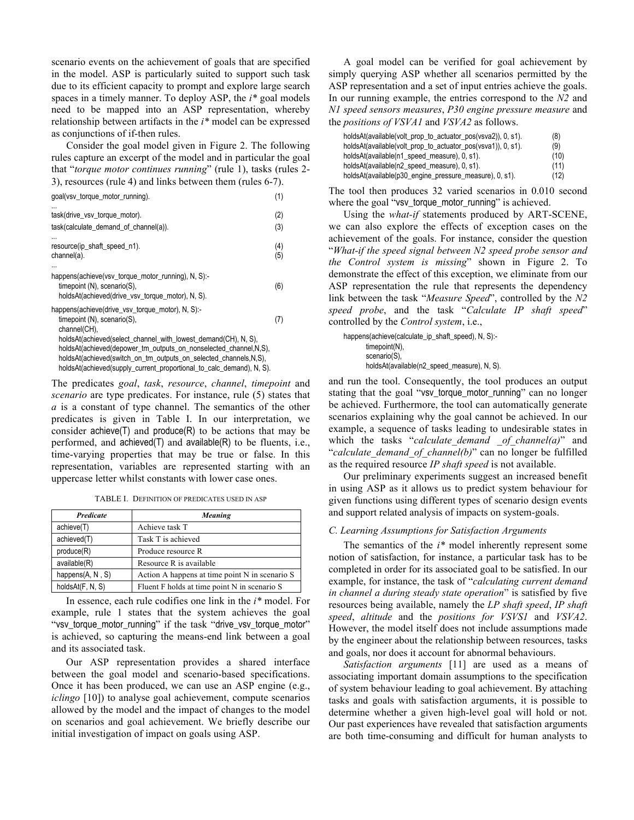scenario events on the achievement of goals that are specified in the model. ASP is particularly suited to support such task due to its efficient capacity to prompt and explore large search spaces in a timely manner. To deploy ASP, the *i\** goal models need to be mapped into an ASP representation, whereby relationship between artifacts in the *i\** model can be expressed as conjunctions of if-then rules.

Consider the goal model given in Figure 2. The following rules capture an excerpt of the model and in particular the goal that "*torque motor continues running*" (rule 1), tasks (rules 2- 3), resources (rule 4) and links between them (rules 6-7).

| goal(vsv_torque_motor_running).                                                                                                                                                                                                                                                | (1)        |
|--------------------------------------------------------------------------------------------------------------------------------------------------------------------------------------------------------------------------------------------------------------------------------|------------|
| task(drive_vsv_torque_motor).<br>task(calculate_demand_of_channel(a)).                                                                                                                                                                                                         | (2)<br>(3) |
| resource(ip_shaft_speed_n1).<br>channel(a).                                                                                                                                                                                                                                    | (4)<br>(5) |
| happens(achieve(vsv_torque_motor_running), N, S):-<br>$timepoint(N)$ , scenario(S),<br>holdsAt(achieved(drive_vsv_torque_motor), N, S).                                                                                                                                        | (6)        |
| happens(achieve(drive_vsv_torque_motor), N, S):-<br>timepoint $(N)$ , scenario $(S)$ ,<br>channel(CH),                                                                                                                                                                         | (7)        |
| holdsAt(achieved(select_channel_with_lowest_demand(CH), N, S),<br>holdsAt(achieved(depower_tm_outputs_on_nonselected_channel,N,S),<br>holdsAt(achieved(switch_on_tm_outputs_on_selected_channels,N,S),<br>holdsAt(achieved(supply_current_proportional_to_calc_demand), N, S). |            |

The predicates *goal*, *task*, *resource*, *channel*, *timepoint* and *scenario* are type predicates. For instance, rule (5) states that *a* is a constant of type channel. The semantics of the other predicates is given in Table I. In our interpretation, we consider achieve(T) and produce(R) to be actions that may be performed, and achieved(T) and available(R) to be fluents, i.e., time-varying properties that may be true or false. In this representation, variables are represented starting with an uppercase letter whilst constants with lower case ones.

TABLE I. DEFINITION OF PREDICATES USED IN ASP

| <b>Predicate</b>    | <b>Meaning</b>                                 |  |  |
|---------------------|------------------------------------------------|--|--|
| achieve(T)          | Achieve task T                                 |  |  |
| achieved(T)         | Task T is achieved                             |  |  |
| produce(R)          | Produce resource R                             |  |  |
| available(R)        | Resource R is available                        |  |  |
| happens $(A, N, S)$ | Action A happens at time point N in scenario S |  |  |
| holdsAt(F, N, S)    | Fluent F holds at time point N in scenario S   |  |  |

In essence, each rule codifies one link in the *i\** model. For example, rule 1 states that the system achieves the goal "vsv\_torque\_motor\_running" if the task "drive\_vsv\_torque\_motor" is achieved, so capturing the means-end link between a goal and its associated task.

Our ASP representation provides a shared interface between the goal model and scenario-based specifications. Once it has been produced, we can use an ASP engine (e.g., *iclingo* [10]) to analyse goal achievement, compute scenarios allowed by the model and the impact of changes to the model on scenarios and goal achievement. We briefly describe our initial investigation of impact on goals using ASP.

A goal model can be verified for goal achievement by simply querying ASP whether all scenarios permitted by the ASP representation and a set of input entries achieve the goals. In our running example, the entries correspond to the *N2* and *N1 speed sensors measures*, *P30 engine pressure measure* and the *positions of VSVA1* and *VSVA2* as follows.

| holdsAt(available(volt_prop_to_actuator_pos(vsva2)), 0, s1). | (8)  |
|--------------------------------------------------------------|------|
| holdsAt(available(volt_prop_to_actuator_pos(vsva1)), 0, s1). | (9)  |
| holdsAt(available(n1_speed_measure), 0, s1).                 | (10) |
| holdsAt(available(n2_speed_measure), 0, s1).                 | (11) |
| holdsAt(available(p30_engine_pressure_measure), 0, s1).      | (12) |

The tool then produces 32 varied scenarios in 0.010 second where the goal "vsv\_torque\_motor\_running" is achieved.

Using the *what-if* statements produced by ART-SCENE, we can also explore the effects of exception cases on the achievement of the goals. For instance, consider the question "*What-if the speed signal between N2 speed probe sensor and the Control system is missing*" shown in Figure 2. To demonstrate the effect of this exception, we eliminate from our ASP representation the rule that represents the dependency link between the task "*Measure Speed*", controlled by the *N2 speed probe*, and the task "*Calculate IP shaft speed*" controlled by the *Control system*, i.e.,

happens(achieve(calculate\_ip\_shaft\_speed), N, S):timepoint(N), scenario(S). holdsAt(available(n2\_speed\_measure), N, S).

and run the tool. Consequently, the tool produces an output stating that the goal "vsv\_torque\_motor\_running" can no longer be achieved. Furthermore, the tool can automatically generate scenarios explaining why the goal cannot be achieved. In our example, a sequence of tasks leading to undesirable states in which the tasks "*calculate demand of channel(a)*" and "*calculate\_demand\_of\_channel(b)*" can no longer be fulfilled as the required resource *IP shaft speed* is not available.

Our preliminary experiments suggest an increased benefit in using ASP as it allows us to predict system behaviour for given functions using different types of scenario design events and support related analysis of impacts on system-goals.

# *C. Learning Assumptions for Satisfaction Arguments*

The semantics of the *i\** model inherently represent some notion of satisfaction, for instance, a particular task has to be completed in order for its associated goal to be satisfied. In our example, for instance, the task of "*calculating current demand in channel a during steady state operation*" is satisfied by five resources being available, namely the *LP shaft speed*, *IP shaft speed*, *altitude* and the *positions for VSVS1* and *VSVA2*. However, the model itself does not include assumptions made by the engineer about the relationship between resources, tasks and goals, nor does it account for abnormal behaviours.

*Satisfaction arguments* [11] are used as a means of associating important domain assumptions to the specification of system behaviour leading to goal achievement. By attaching tasks and goals with satisfaction arguments, it is possible to determine whether a given high-level goal will hold or not. Our past experiences have revealed that satisfaction arguments are both time-consuming and difficult for human analysts to